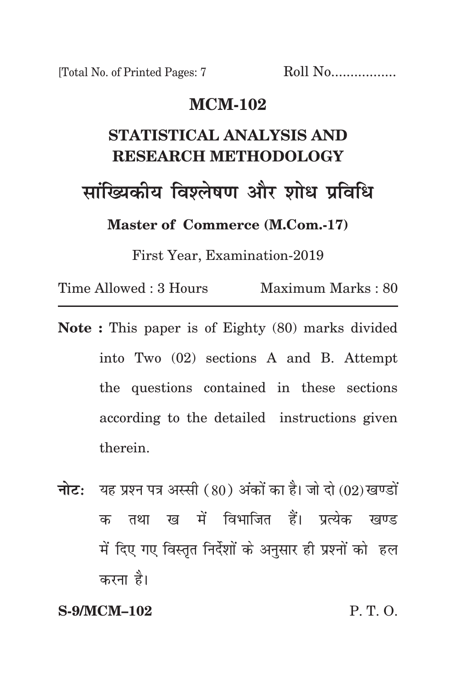# **mcm-102**

# **statistical analysis and research methodology सांख्यिकीय विश्लेषण और शोध प्रविधि Master of Commerce (M.Com.-17)**

First Year, Examination-2019

Time Allowed : 3 Hours Maximum Marks : 80

- **Note :** This paper is of Eighty (80) marks divided into Two (02) sections A and B. Attempt the questions contained in these sections according to the detailed instructions given therein.
- **नोट:** यह प्रश्न पत्र अस्सी (80) अंकों का है। जो दो (02) खण्डों क तथा ख में विभाजित हैं। प्रत्येक खण्ड में दिए गए विस्तृत निर्देशों के अनुसार ही प्रश्नों को हल करना है।

### **S-9/MCM–102** P. T. O.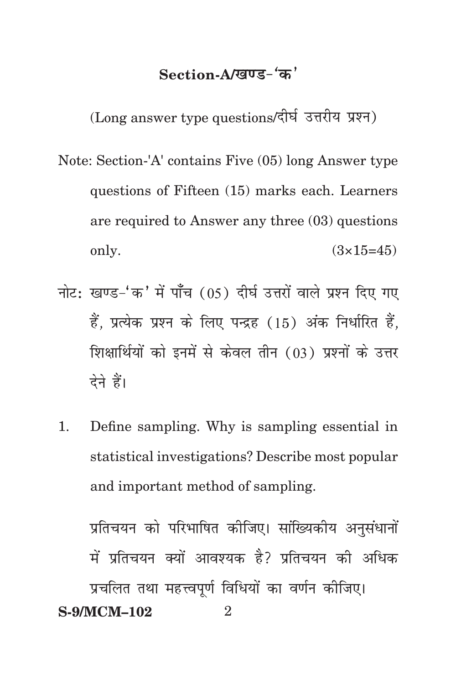# Section-A/**खण्ड-** 'क'

 $(Long answer type questions/ रीर्घ उत्तरीय प्रश्न $)$$ 

- Note: Section-'A' contains Five (05) long Answer type questions of Fifteen (15) marks each. Learners are required to Answer any three (03) questions only.  $(3 \times 15 = 45)$
- नोट: खण्ड-'क' में पाँच (05) दीर्घ उत्तरों वाले प्रश्न दिए गए हैं, प्रत्येक प्रश्न के लिए पन्द्रह (15) अंक निर्धारित हैं, शिक्षार्थियों को इनमें से केवल तीन (03) प्रश्नों के उत्तर देने हैं।
- 1. Define sampling. Why is sampling essential in statistical investigations? Describe most popular and important method of sampling.

**S-9/MCM–102** 2 प्रतिचयन को परिभाषित कीजिए। सांख्यिकीय अनसंधानों में प्रतिचयन क्यों आवश्यक है? प्रतिचयन की अधिक प्रचलित तथा महत्त्वपूर्ण विधियों का वर्णन कीजिए।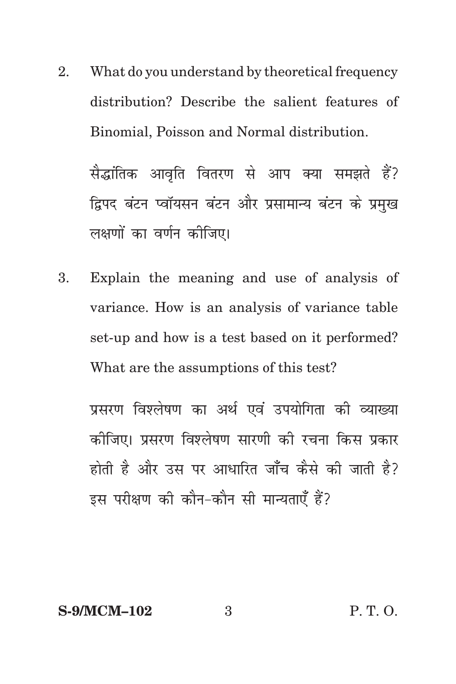2. What do you understand by theoretical frequency distribution? Describe the salient features of Binomial, Poisson and Normal distribution.

सैद्धांतिक आवृति वितरण से आप क्या समझते हैं? द्विपद बंटन प्वॉयसन बंटन और प्रसामान्य बंटन के प्रमख लक्षणों का वर्णन कीजिए।

3. Explain the meaning and use of analysis of variance. How is an analysis of variance table set-up and how is a test based on it performed? What are the assumptions of this test?

प्रसरण विश्लेषण का अर्थ एवं उपयोगिता की व्याख्या कोजिए। प्रसरण विश्लेषण सारणी को रचना किस प्रकार होती है और उस पर आधारित जाँच कैसे की जाती है? इस परीक्षण की कौन-कौन सी मान्यताएँ हैं?

# **S-9/MCM–102** 3 P. T. O.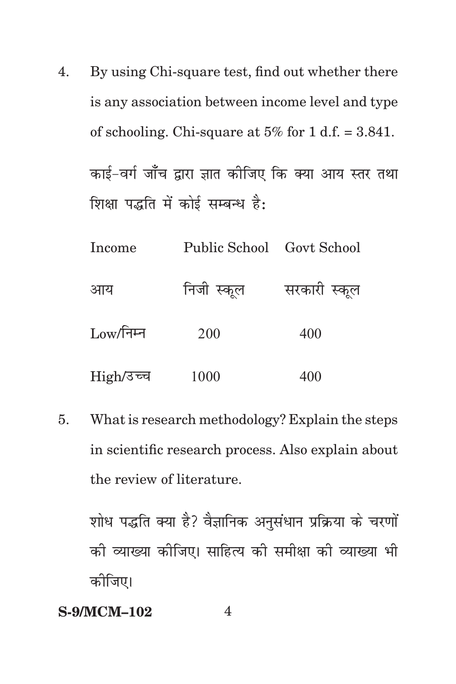4. By using Chi-square test, find out whether there is any association between income level and type of schooling. Chi-square at  $5\%$  for 1 d.f. = 3.841. काई-वर्ग जाँच द्वारा ज्ञात कीजिए कि क्या आय स्तर तथा शिक्षा पद्धति में कोई सम्बन्ध है:

| Income           | Public School Govt School |              |
|------------------|---------------------------|--------------|
| आय               | निजी स्कूल                | सरकारी स्कूल |
| $\rm Low/$ निम्न | 200                       | 400          |
| High/उच्च        | 1000                      | 400          |

5. What is research methodology? Explain the steps in scientific research process. Also explain about the review of literature.

शोध पद्धति क्या है? वैज्ञानिक अनुसंधान प्रक्रिया के चरणों को व्याख्या कोजिए। साहित्य को समीक्षा को व्याख्या भी कोजिए।

### **S-9/MCM–102** 4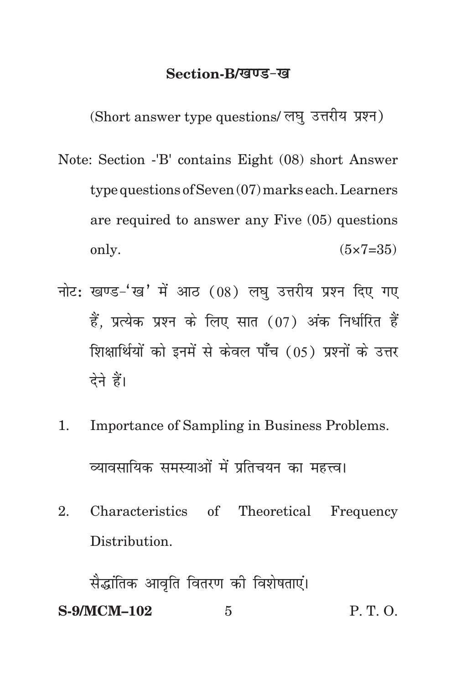#### **Section-B/खण्ड-ख**

(Short answer type questions/ लघु उत्तरीय प्रश्न)

- Note: Section -'B' contains Eight (08) short Answer type questions of Seven (07) marks each. Learners are required to answer any Five (05) questions only.  $(5 \times 7 = 35)$
- नोट: खण्ड-'ख' में आठ (08) लघु उत्तरीय प्रश्न दिए गए हैं. प्रत्येक प्रश्न के लिए सात (07) अंक निर्धारित हैं शिक्षार्थियों को इनमें से केवल पाँच (05) प्रश्नों के उत्तर देने हैं।
- 1. Importance of Sampling in Business Problems. व्यावसायिक समस्याओं में प्रतिचयन का महत्त्व।
- 2. Characteristics of Theoretical Frequency Distribution.

**S-9/MCM–102** 5 P. T. O. सैद्धांतिक आवृति वितरण की विशेषताएं।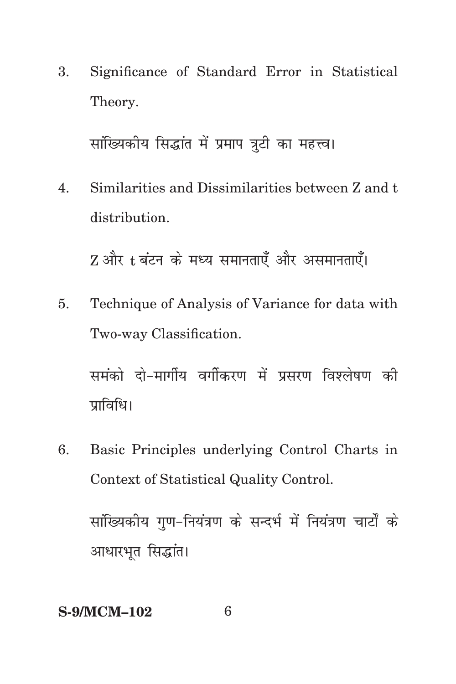3. Significance of Standard Error in Statistical Theory.

सांख्यिकीय सिद्धांत में प्रमाप त्रूटी का महत्त्व।

Similarities and Dissimilarities between Z and t  $\overline{4}$ . distribution.

Z और t बंटन के मध्य समानताएँ और असमानताएँ।

Technique of Analysis of Variance for data with 5. Two-way Classification.

समंको दो-मार्गीय वर्गीकरण में प्रसरण विश्लेषण की प्राविधि।

6. Basic Principles underlying Control Charts in Context of Statistical Quality Control. सांख्यिकीय गण-नियंत्रण के सन्दर्भ में नियंत्रण चार्टों के आधारभूत सिद्धांत।

### **S-9/MCM-102**